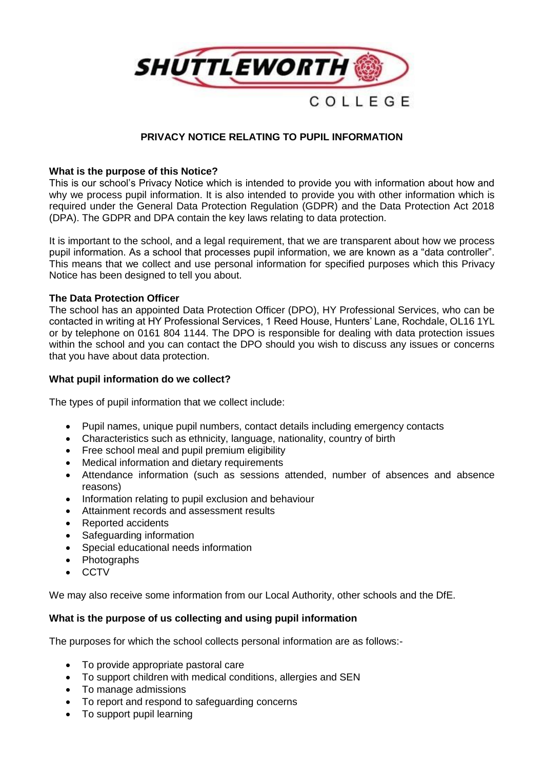

# **PRIVACY NOTICE RELATING TO PUPIL INFORMATION**

# **What is the purpose of this Notice?**

This is our school's Privacy Notice which is intended to provide you with information about how and why we process pupil information. It is also intended to provide you with other information which is required under the General Data Protection Regulation (GDPR) and the Data Protection Act 2018 (DPA). The GDPR and DPA contain the key laws relating to data protection.

It is important to the school, and a legal requirement, that we are transparent about how we process pupil information. As a school that processes pupil information, we are known as a "data controller". This means that we collect and use personal information for specified purposes which this Privacy Notice has been designed to tell you about.

### **The Data Protection Officer**

The school has an appointed Data Protection Officer (DPO), HY Professional Services, who can be contacted in writing at HY Professional Services, 1 Reed House, Hunters' Lane, Rochdale, OL16 1YL or by telephone on 0161 804 1144. The DPO is responsible for dealing with data protection issues within the school and you can contact the DPO should you wish to discuss any issues or concerns that you have about data protection.

### **What pupil information do we collect?**

The types of pupil information that we collect include:

- Pupil names, unique pupil numbers, contact details including emergency contacts
- Characteristics such as ethnicity, language, nationality, country of birth
- Free school meal and pupil premium eligibility
- Medical information and dietary requirements
- Attendance information (such as sessions attended, number of absences and absence reasons)
- Information relating to pupil exclusion and behaviour
- Attainment records and assessment results
- Reported accidents
- Safeguarding information
- Special educational needs information
- Photographs
- CCTV

We may also receive some information from our Local Authority, other schools and the DfE.

# **What is the purpose of us collecting and using pupil information**

The purposes for which the school collects personal information are as follows:-

- To provide appropriate pastoral care
- To support children with medical conditions, allergies and SEN
- To manage admissions
- To report and respond to safeguarding concerns
- To support pupil learning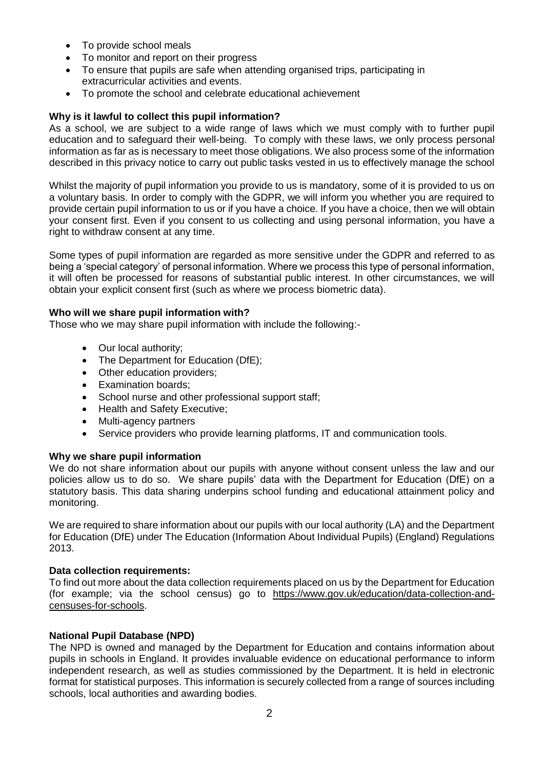- To provide school meals
- To monitor and report on their progress
- To ensure that pupils are safe when attending organised trips, participating in extracurricular activities and events.
- To promote the school and celebrate educational achievement

# **Why is it lawful to collect this pupil information?**

As a school, we are subject to a wide range of laws which we must comply with to further pupil education and to safeguard their well-being. To comply with these laws, we only process personal information as far as is necessary to meet those obligations. We also process some of the information described in this privacy notice to carry out public tasks vested in us to effectively manage the school

Whilst the majority of pupil information you provide to us is mandatory, some of it is provided to us on a voluntary basis. In order to comply with the GDPR, we will inform you whether you are required to provide certain pupil information to us or if you have a choice. If you have a choice, then we will obtain your consent first. Even if you consent to us collecting and using personal information, you have a right to withdraw consent at any time.

Some types of pupil information are regarded as more sensitive under the GDPR and referred to as being a 'special category' of personal information. Where we process this type of personal information, it will often be processed for reasons of substantial public interest. In other circumstances, we will obtain your explicit consent first (such as where we process biometric data).

### **Who will we share pupil information with?**

Those who we may share pupil information with include the following:-

- Our local authority;
- The Department for Education (DfE);
- Other education providers;
- Examination boards;
- School nurse and other professional support staff;
- Health and Safety Executive:
- Multi-agency partners
- Service providers who provide learning platforms, IT and communication tools.

# **Why we share pupil information**

We do not share information about our pupils with anyone without consent unless the law and our policies allow us to do so. We share pupils' data with the Department for Education (DfE) on a statutory basis. This data sharing underpins school funding and educational attainment policy and monitoring.

We are required to share information about our pupils with our local authority (LA) and the Department for Education (DfE) under The Education (Information About Individual Pupils) (England) Regulations 2013.

#### **Data collection requirements:**

To find out more about the data collection requirements placed on us by the Department for Education (for example; via the school census) go to [https://www.gov.uk/education/data-collection-and](https://www.gov.uk/education/data-collection-and-censuses-for-schools)[censuses-for-schools.](https://www.gov.uk/education/data-collection-and-censuses-for-schools)

# **National Pupil Database (NPD)**

The NPD is owned and managed by the Department for Education and contains information about pupils in schools in England. It provides invaluable evidence on educational performance to inform independent research, as well as studies commissioned by the Department. It is held in electronic format for statistical purposes. This information is securely collected from a range of sources including schools, local authorities and awarding bodies.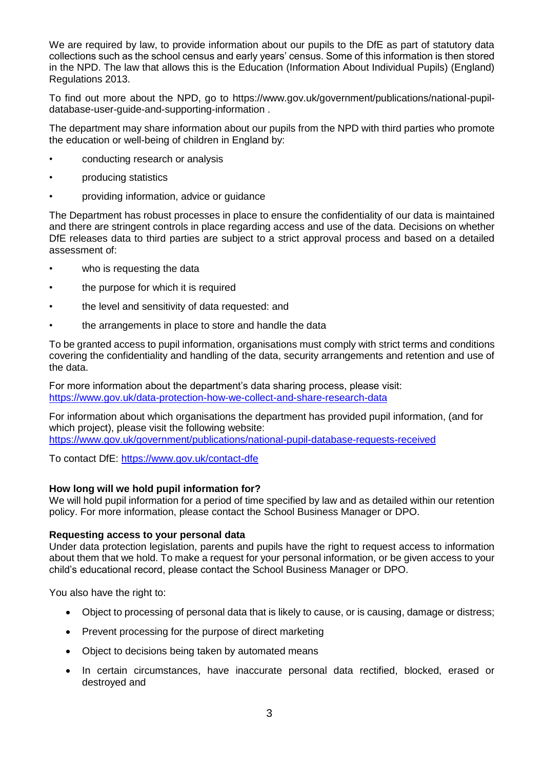We are required by law, to provide information about our pupils to the DfE as part of statutory data collections such as the school census and early years' census. Some of this information is then stored in the NPD. The law that allows this is the Education (Information About Individual Pupils) (England) Regulations 2013.

To find out more about the NPD, go to https://www.gov.uk/government/publications/national-pupildatabase-user-guide-and-supporting-information .

The department may share information about our pupils from the NPD with third parties who promote the education or well-being of children in England by:

- conducting research or analysis
- producing statistics
- providing information, advice or guidance

The Department has robust processes in place to ensure the confidentiality of our data is maintained and there are stringent controls in place regarding access and use of the data. Decisions on whether DfE releases data to third parties are subject to a strict approval process and based on a detailed assessment of:

- who is requesting the data
- the purpose for which it is required
- the level and sensitivity of data requested: and
- the arrangements in place to store and handle the data

To be granted access to pupil information, organisations must comply with strict terms and conditions covering the confidentiality and handling of the data, security arrangements and retention and use of the data.

For more information about the department's data sharing process, please visit: <https://www.gov.uk/data-protection-how-we-collect-and-share-research-data>

For information about which organisations the department has provided pupil information, (and for which project), please visit the following website:

<https://www.gov.uk/government/publications/national-pupil-database-requests-received>

To contact DfE:<https://www.gov.uk/contact-dfe>

#### **How long will we hold pupil information for?**

We will hold pupil information for a period of time specified by law and as detailed within our retention policy. For more information, please contact the School Business Manager or DPO.

#### **Requesting access to your personal data**

Under data protection legislation, parents and pupils have the right to request access to information about them that we hold. To make a request for your personal information, or be given access to your child's educational record, please contact the School Business Manager or DPO.

You also have the right to:

- Object to processing of personal data that is likely to cause, or is causing, damage or distress;
- Prevent processing for the purpose of direct marketing
- Object to decisions being taken by automated means
- In certain circumstances, have inaccurate personal data rectified, blocked, erased or destroyed and